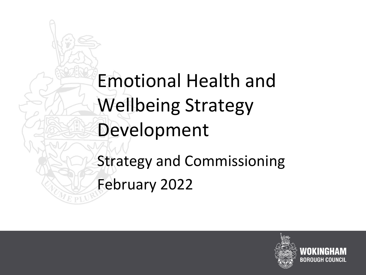Emotional Health and Wellbeing Strategy Development Strategy and Commissioning February 2022

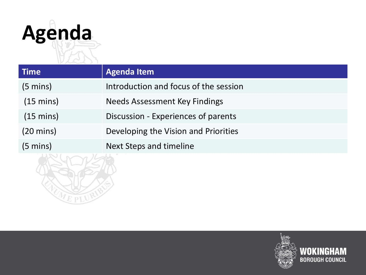

| Time                | <b>Agenda Item</b>                    |
|---------------------|---------------------------------------|
| $(5 \text{ mins})$  | Introduction and focus of the session |
| $(15 \text{ mins})$ | Needs Assessment Key Findings         |
| $(15 \text{ mins})$ | Discussion - Experiences of parents   |
| $(20 \text{ mins})$ | Developing the Vision and Priorities  |
| $(5 \text{ mins})$  | <b>Next Steps and timeline</b>        |
|                     |                                       |

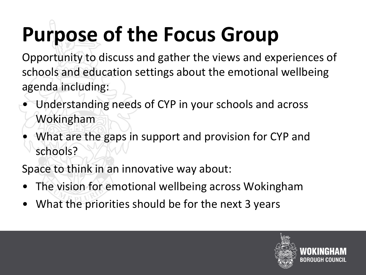# **Purpose of the Focus Group**

Opportunity to discuss and gather the views and experiences of schools and education settings about the emotional wellbeing agenda including:

- Understanding needs of CYP in your schools and across Wokingham
- What are the gaps in support and provision for CYP and schools?

Space to think in an innovative way about:

- The vision for emotional wellbeing across Wokingham
- What the priorities should be for the next 3 years

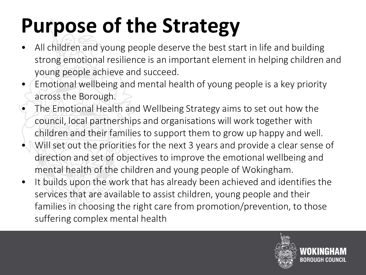# **Purpose of the Strategy**

- All children and young people deserve the best start in life and building strong emotional resilience is an important element in helping children and young people achieve and succeed.
- Emotional wellbeing and mental health of young people is a key priority across the Borough.
- The Emotional Health and Wellbeing Strategy aims to set out how the council, local partnerships and organisations will work together with children and their families to support them to grow up happy and well.
- Will set out the priorities for the next 3 years and provide a clear sense of direction and set of objectives to improve the emotional wellbeing and mental health of the children and young people of Wokingham.
- It builds upon the work that has already been achieved and identifies the services that are available to assist children, young people and their families in choosing the right care from promotion/prevention, to those suffering complex mental health

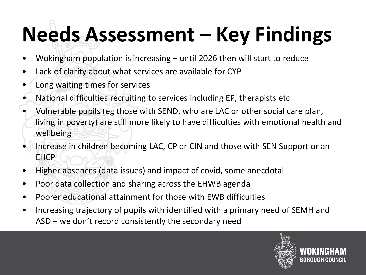# **Needs Assessment – Key Findings**

- Wokingham population is increasing until 2026 then will start to reduce
- Lack of clarity about what services are available for CYP
- Long waiting times for services
- National difficulties recruiting to services including EP, therapists etc
- Vulnerable pupils (eg those with SEND, who are LAC or other social care plan, living in poverty) are still more likely to have difficulties with emotional health and wellbeing
- Increase in children becoming LAC, CP or CIN and those with SEN Support or an EHCP
- Higher absences (data issues) and impact of covid, some anecdotal
- Poor data collection and sharing across the EHWB agenda
- Poorer educational attainment for those with EWB difficulties
- Increasing trajectory of pupils with identified with a primary need of SEMH and ASD – we don't record consistently the secondary need

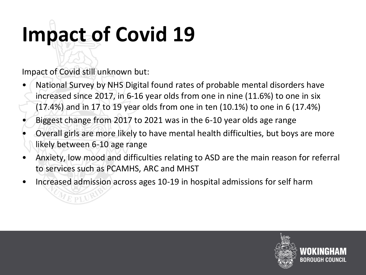# **Impact of Covid 19**

Impact of Covid still unknown but:

- National Survey by NHS Digital found rates of probable mental disorders have increased since 2017, in 6-16 year olds from one in nine (11.6%) to one in six (17.4%) and in 17 to 19 year olds from one in ten (10.1%) to one in 6 (17.4%)
- Biggest change from 2017 to 2021 was in the 6-10 year olds age range
- Overall girls are more likely to have mental health difficulties, but boys are more likely between 6-10 age range
- Anxiety, low mood and difficulties relating to ASD are the main reason for referral to services such as PCAMHS, ARC and MHST
- Increased admission across ages 10-19 in hospital admissions for self harm

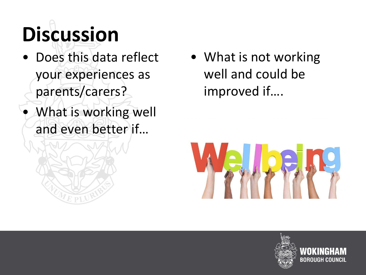# **Discussion**

- Does this data reflect your experiences as parents/carers?
- What is working well and even better if…

• What is not working well and could be improved if….



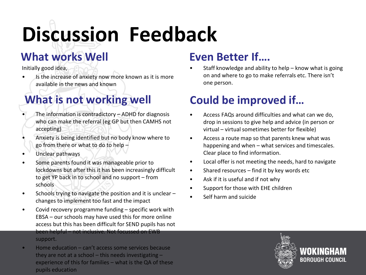# **Discussion Feedback**

## **What works Well**

Initially good idea,

Is the increase of anxiety now more known as it is more available in the news and known

## What is not working well **Could be improved if...**

- The information is contradictory  $-$  ADHD for diagnosis who can make the referral (eg GP but then CAMHS not accepting)
- Anxiety is being identified but no body know where to go from there or what to do to help –
- Unclear pathways
- Some parents found it was manageable prior to lockdowns but after this it has been increasingly difficult to get YP back in to school and no support – from schools
- Schools trying to navigate the position and it is unclear changes to implement too fast and the impact
- Covid recovery programme funding specific work with EBSA – our schools may have used this for more online access but this has been difficult for SEND pupils has not been helpful – not inclusive. Not focussed on EWB support.
- Home education can't access some services because they are not at a school  $-$  this needs investigating  $$ experience of this for families – what is the QA of these pupils education

## **Even Better If….**

Staff knowledge and ability to help  $-$  know what is going on and where to go to make referrals etc. There isn't one person.

- Access FAQs around difficulties and what can we do, drop in sessions to give help and advice (in person or virtual – virtual sometimes better for flexible)
- Access a route map so that parents knew what was happening and when – what services and timescales. Clear place to find information.
- Local offer is not meeting the needs, hard to navigate
- Shared resources find it by key words etc
- Ask if it is useful and if not why
- Support for those with EHE children
- Self harm and suicide

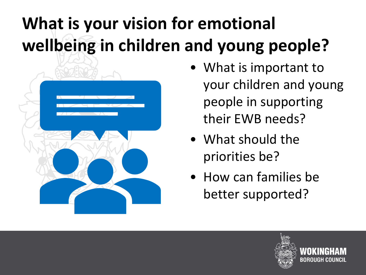## **What is your vision for emotional wellbeing in children and young people?**



- What is important to your children and young people in supporting their EWB needs?
- What should the priorities be?
- How can families be better supported?

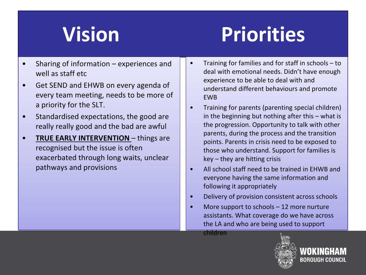## **Vision Priorities**

- Sharing of information  $-$  experiences and well as staff etc.
- Get SEND and EHWB on every agenda of every team meeting, needs to be more of a priority for the SLT.
- Standardised expectations, the good are really really good and the bad are awful
- **TRUE EARLY INTERVENTION**  things are recognised but the issue is often exacerbated through long waits, unclear pathways and provisions
- Training for families and for staff in schools to deal with emotional needs. Didn't have enough experience to be able to deal with and understand different behaviours and promote EWB
- Training for parents (parenting special children) in the beginning but nothing after this – what is the progression. Opportunity to talk with other parents, during the process and the transition points. Parents in crisis need to be exposed to those who understand. Support for families is key – they are hitting crisis
- All school staff need to be trained in EHWB and everyone having the same information and following it appropriately
- Delivery of provision consistent across schools
- More support to schools 12 more nurture assistants. What coverage do we have across the LA and who are being used to support

children



BOROUGH COUNCIL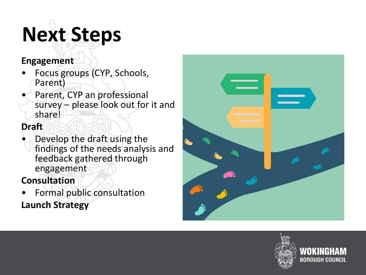# **Next Steps**

### **Engagement**

- Focus groups (CYP, Schools, Parent)
- Parent, CYP an professional survey – please look out for it and share!

### **Draft**

• Develop the draft using the findings of the needs analysis and feedback gathered through engagement

## **Consultation**

• Formal public consultation **Launch Strategy**